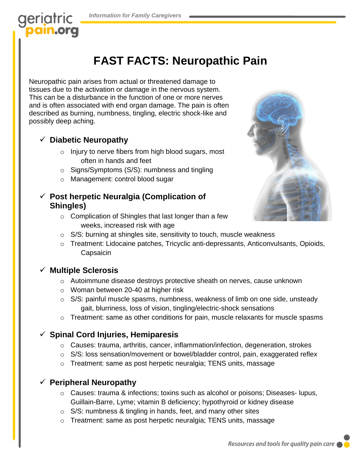

# **FAST FACTS: Neuropathic Pain**

Neuropathic pain arises from actual or threatened damage to tissues due to the activation or damage in the nervous system. This can be a disturbance in the function of one or more nerves and is often associated with end organ damage. The pain is often described as burning, numbness, tingling, electric shock-like and possibly deep aching.

#### ✓ **Diabetic Neuropathy**

- o Injury to nerve fibers from high blood sugars, most often in hands and feet
- o Signs/Symptoms (S/S): numbness and tingling
- o Management: control blood sugar

#### ✓ **Post herpetic Neuralgia (Complication of Shingles)**

o Complication of Shingles that last longer than a few weeks, increased risk with age



- o S/S: burning at shingles site, sensitivity to touch, muscle weakness
- o Treatment: Lidocaine patches, Tricyclic anti-depressants, Anticonvulsants, Opioids, **Capsaicin**

### ✓ **Multiple Sclerosis**

- o Autoimmune disease destroys protective sheath on nerves, cause unknown
- o Woman between 20-40 at higher risk
- $\circ$  S/S: painful muscle spasms, numbness, weakness of limb on one side, unsteady gait, blurriness, loss of vision, tingling/electric-shock sensations
- $\circ$  Treatment: same as other conditions for pain, muscle relaxants for muscle spasms

### ✓ **Spinal Cord Injuries, Hemiparesis**

- o Causes: trauma, arthritis, cancer, inflammation/infection, degeneration, strokes
- $\circ$  S/S: loss sensation/movement or bowel/bladder control, pain, exaggerated reflex
- o Treatment: same as post herpetic neuralgia; TENS units, massage

### ✓ **Peripheral Neuropathy**

- o Causes: trauma & infections; toxins such as alcohol or poisons; Diseases- lupus, Guillain-Barre, Lyme; vitamin B deficiency; hypothyroid or kidney disease
- o S/S: numbness & tingling in hands, feet, and many other sites
- o Treatment: same as post herpetic neuralgia; TENS units, massage